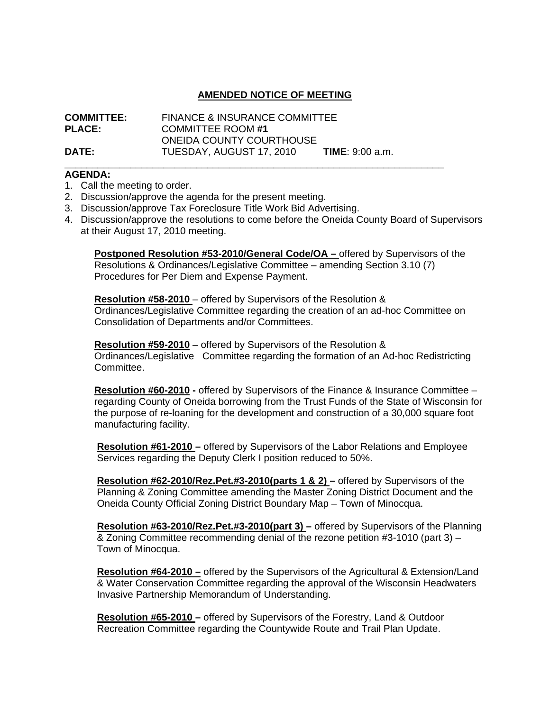## **AMENDED NOTICE OF MEETING**

| <b>COMMITTEE:</b> | <b>FINANCE &amp; INSURANCE COMMITTEE</b> |                           |
|-------------------|------------------------------------------|---------------------------|
| <b>PLACE:</b>     | <b>COMMITTEE ROOM #1</b>                 |                           |
|                   | <b>ONEIDA COUNTY COURTHOUSE</b>          |                           |
| <b>DATE:</b>      | TUESDAY, AUGUST 17, 2010                 | <b>TIME</b> : $9:00$ a.m. |

\_\_\_\_\_\_\_\_\_\_\_\_\_\_\_\_\_\_\_\_\_\_\_\_\_\_\_\_\_\_\_\_\_\_\_\_\_\_\_\_\_\_\_\_\_\_\_\_\_\_\_\_\_\_\_\_\_\_\_\_\_\_\_\_\_\_\_\_\_

## **AGENDA:**

- 1. Call the meeting to order.
- 2. Discussion/approve the agenda for the present meeting.
- 3. Discussion/approve Tax Foreclosure Title Work Bid Advertising.
- 4. Discussion/approve the resolutions to come before the Oneida County Board of Supervisors at their August 17, 2010 meeting.

**Postponed Resolution #53-2010/General Code/OA – offered by Supervisors of the** Resolutions & Ordinances/Legislative Committee – amending Section 3.10 (7) Procedures for Per Diem and Expense Payment.

**Resolution #58-2010** – offered by Supervisors of the Resolution & Ordinances/Legislative Committee regarding the creation of an ad-hoc Committee on Consolidation of Departments and/or Committees.

**Resolution #59-2010** – offered by Supervisors of the Resolution & Ordinances/Legislative Committee regarding the formation of an Ad-hoc Redistricting Committee.

**Resolution #60-2010 -** offered by Supervisors of the Finance & Insurance Committee – regarding County of Oneida borrowing from the Trust Funds of the State of Wisconsin for the purpose of re-loaning for the development and construction of a 30,000 square foot manufacturing facility.

**Resolution #61-2010 –** offered by Supervisors of the Labor Relations and Employee Services regarding the Deputy Clerk I position reduced to 50%.

**Resolution #62-2010/Rez.Pet.#3-2010(parts 1 & 2) –** offered by Supervisors of the Planning & Zoning Committee amending the Master Zoning District Document and the Oneida County Official Zoning District Boundary Map – Town of Minocqua.

**Resolution #63-2010/Rez.Pet.#3-2010(part 3) –** offered by Supervisors of the Planning & Zoning Committee recommending denial of the rezone petition #3-1010 (part 3) – Town of Minocqua.

**Resolution #64-2010 –** offered by the Supervisors of the Agricultural & Extension/Land & Water Conservation Committee regarding the approval of the Wisconsin Headwaters Invasive Partnership Memorandum of Understanding.

 **Resolution #65-2010 –** offered by Supervisors of the Forestry, Land & Outdoor Recreation Committee regarding the Countywide Route and Trail Plan Update.